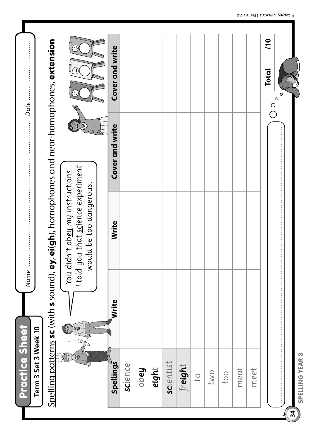|                                    | Spelling patterns sc (with s sound), ey, |                                                                                                 | ei(gh), homophones and near-homophones, extension |                               |
|------------------------------------|------------------------------------------|-------------------------------------------------------------------------------------------------|---------------------------------------------------|-------------------------------|
| 天神地<br>一                           |                                          | told you that science experiment<br>You didn't obey my instructions.<br>would be too dangerous. |                                                   |                               |
|                                    |                                          |                                                                                                 |                                                   |                               |
| Spellings                          | Write                                    | Write                                                                                           | Cover and write                                   | Cover and write               |
| science                            |                                          |                                                                                                 |                                                   |                               |
| $\mathsf{Page}$                    |                                          |                                                                                                 |                                                   |                               |
| eight                              |                                          |                                                                                                 |                                                   |                               |
| scientist                          |                                          |                                                                                                 |                                                   |                               |
| freight                            |                                          |                                                                                                 |                                                   |                               |
| $C_{1}$                            |                                          |                                                                                                 |                                                   |                               |
| two                                |                                          |                                                                                                 |                                                   |                               |
| to <sub>o</sub>                    |                                          |                                                                                                 |                                                   |                               |
| meat                               |                                          |                                                                                                 |                                                   |                               |
| meet                               |                                          |                                                                                                 |                                                   |                               |
|                                    |                                          |                                                                                                 |                                                   | 70<br><b>Total</b><br>$\circ$ |
|                                    |                                          |                                                                                                 |                                                   |                               |
| SPELLING YEAR 3<br>$\overline{34}$ |                                          |                                                                                                 |                                                   |                               |

Ŧ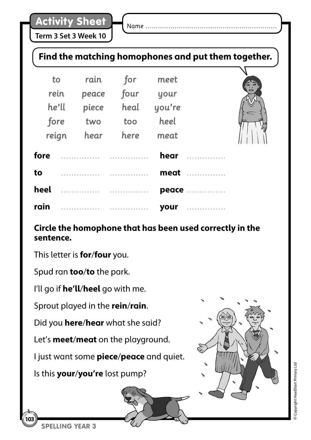**Term 3 Set 3 Week 10**

*Name ………………………………………………………*

## **Find the matching homophones and put them together.**

|      | to    | rain  | for  | meet   |                | 6 |
|------|-------|-------|------|--------|----------------|---|
|      | rein  | peace | four | your   |                |   |
|      | he'll | piece | heal | you're |                |   |
|      | fore  | two   | too  | heel   |                |   |
|      | reign | hear  | here | meat   |                |   |
| fore |       |       |      | hear   |                |   |
| to   |       |       |      |        | meat <i></i> . |   |
| heel |       |       | .    |        | peace          |   |
| rain |       |       |      | your   |                |   |

## **Circle the homophone that has been used correctly in the sentence.**

This letter is **for**/**four** you.

Spud ran **too**/**to** the park.

I'll go if **he'll**/**heel** go with me.

Sprout played in the **rein**/**rain**.

Did you **here**/**hear** what she said?

Let's **meet**/**meat** on the playground.

I just want some **piece**/**peace** and quiet.

Is this **your**/**you're** lost pump?



**©** Copyright HeadStart Primary Ltd

Copyright HeadStart Primary Ltd

SPELLING YEAR 3

**103**